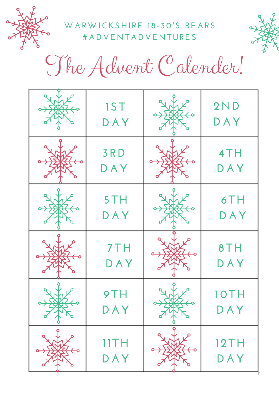

**WA RWICKS H I RE 1 8 - 30' S BE A R S # A D V E N T A D V E N TURES**



The Advent Calender!

| <b>IST</b><br>DAY | 2ND<br>DAY         |
|-------------------|--------------------|
| 3RD<br>DAY        | 4TH<br>DAY         |
| 5TH<br>DAY        | 6TH<br>DAY         |
| 7TH<br>DAY        | 8TH<br>DAY         |
| DAY               | DAY                |
| IITH<br>DAY       | <b>12TH</b><br>DAY |